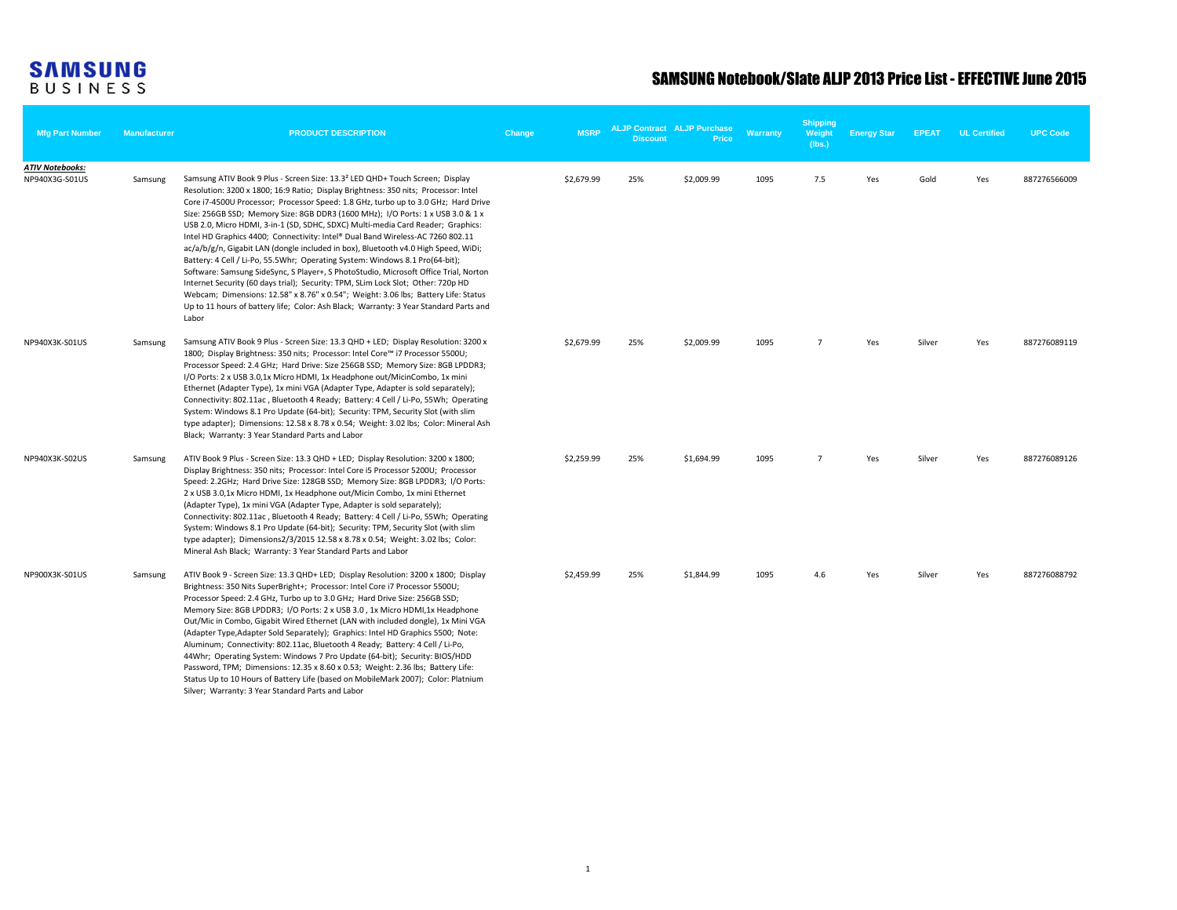| <b>Mfg Part Number</b>                   | <b>Manufacturer</b> | <b>PRODUCT DESCRIPTION</b>                                                                                                                                                                                                                                                                                                                                                                                                                                                                                                                                                                                                                                                                                                                                                                                                                                                                                                                                                                                                                                              | Change | <b>MSRP</b> | <b>Discount</b> | <b>ALJP Contract ALJP Purchase</b><br>Price | Warranty | <b>Shipping</b><br>Weight<br>(lbs.) | <b>Energy Star</b> | <b>EPEAT</b> | <b>UL Certified</b> | <b>UPC Code</b> |
|------------------------------------------|---------------------|-------------------------------------------------------------------------------------------------------------------------------------------------------------------------------------------------------------------------------------------------------------------------------------------------------------------------------------------------------------------------------------------------------------------------------------------------------------------------------------------------------------------------------------------------------------------------------------------------------------------------------------------------------------------------------------------------------------------------------------------------------------------------------------------------------------------------------------------------------------------------------------------------------------------------------------------------------------------------------------------------------------------------------------------------------------------------|--------|-------------|-----------------|---------------------------------------------|----------|-------------------------------------|--------------------|--------------|---------------------|-----------------|
| <b>ATIV Notebooks:</b><br>NP940X3G-S01US | Samsung             | Samsung ATIV Book 9 Plus - Screen Size: 13.3 <sup>2</sup> LED QHD+ Touch Screen; Display<br>Resolution: 3200 x 1800; 16:9 Ratio; Display Brightness: 350 nits; Processor: Intel<br>Core i7-4500U Processor; Processor Speed: 1.8 GHz, turbo up to 3.0 GHz; Hard Drive<br>Size: 256GB SSD; Memory Size: 8GB DDR3 (1600 MHz); 1/O Ports: 1 x USB 3.0 & 1 x<br>USB 2.0, Micro HDMI, 3-in-1 (SD, SDHC, SDXC) Multi-media Card Reader; Graphics:<br>Intel HD Graphics 4400; Connectivity: Intel® Dual Band Wireless-AC 7260 802.11<br>ac/a/b/g/n, Gigabit LAN (dongle included in box), Bluetooth v4.0 High Speed, WiDi;<br>Battery: 4 Cell / Li-Po, 55.5Whr; Operating System: Windows 8.1 Pro(64-bit);<br>Software: Samsung SideSync, S Player+, S PhotoStudio, Microsoft Office Trial, Norton<br>Internet Security (60 days trial); Security: TPM, SLim Lock Slot; Other: 720p HD<br>Webcam; Dimensions: 12.58" x 8.76" x 0.54"; Weight: 3.06 lbs; Battery Life: Status<br>Up to 11 hours of battery life; Color: Ash Black; Warranty: 3 Year Standard Parts and<br>Labor |        | \$2,679.99  | 25%             | \$2,009.99                                  | 1095     | 7.5                                 | Yes                | Gold         | Yes                 | 887276566009    |
| NP940X3K-S01US                           | Samsung             | Samsung ATIV Book 9 Plus - Screen Size: 13.3 QHD + LED; Display Resolution: 3200 x<br>1800; Display Brightness: 350 nits; Processor: Intel Core™ i7 Processor 5500U;<br>Processor Speed: 2.4 GHz; Hard Drive: Size 256GB SSD; Memory Size: 8GB LPDDR3;<br>I/O Ports: 2 x USB 3.0,1x Micro HDMI, 1x Headphone out/MicinCombo, 1x mini<br>Ethernet (Adapter Type), 1x mini VGA (Adapter Type, Adapter is sold separately);<br>Connectivity: 802.11ac, Bluetooth 4 Ready; Battery: 4 Cell / Li-Po, 55Wh; Operating<br>System: Windows 8.1 Pro Update (64-bit); Security: TPM, Security Slot (with slim<br>type adapter); Dimensions: 12.58 x 8.78 x 0.54; Weight: 3.02 lbs; Color: Mineral Ash<br>Black; Warranty: 3 Year Standard Parts and Labor                                                                                                                                                                                                                                                                                                                         |        | \$2,679.99  | 25%             | \$2,009.99                                  | 1095     | $\overline{7}$                      | Yes                | Silver       | Yes                 | 887276089119    |
| NP940X3K-S02US                           | Samsung             | ATIV Book 9 Plus - Screen Size: 13.3 QHD + LED; Display Resolution: 3200 x 1800;<br>Display Brightness: 350 nits; Processor: Intel Core i5 Processor 5200U; Processor<br>Speed: 2.2GHz; Hard Drive Size: 128GB SSD; Memory Size: 8GB LPDDR3; I/O Ports:<br>2 x USB 3.0,1x Micro HDMI, 1x Headphone out/Micin Combo, 1x mini Ethernet<br>(Adapter Type), 1x mini VGA (Adapter Type, Adapter is sold separately);<br>Connectivity: 802.11ac, Bluetooth 4 Ready; Battery: 4 Cell / Li-Po, 55Wh; Operating<br>System: Windows 8.1 Pro Update (64-bit); Security: TPM, Security Slot (with slim<br>type adapter); Dimensions2/3/2015 12.58 x 8.78 x 0.54; Weight: 3.02 lbs; Color:<br>Mineral Ash Black; Warranty: 3 Year Standard Parts and Labor                                                                                                                                                                                                                                                                                                                           |        | \$2,259.99  | 25%             | \$1,694.99                                  | 1095     | $\overline{7}$                      | Yes                | Silver       | Yes                 | 887276089126    |
| NP900X3K-S01US                           | Samsung             | ATIV Book 9 - Screen Size: 13.3 QHD+ LED; Display Resolution: 3200 x 1800; Display<br>Brightness: 350 Nits SuperBright+; Processor: Intel Core i7 Processor 5500U;<br>Processor Speed: 2.4 GHz, Turbo up to 3.0 GHz; Hard Drive Size: 256GB SSD;<br>Memory Size: 8GB LPDDR3; I/O Ports: 2 x USB 3.0, 1x Micro HDMI,1x Headphone<br>Out/Mic in Combo, Gigabit Wired Ethernet (LAN with included dongle), 1x Mini VGA<br>(Adapter Type, Adapter Sold Separately); Graphics: Intel HD Graphics 5500; Note:<br>Aluminum; Connectivity: 802.11ac, Bluetooth 4 Ready; Battery: 4 Cell / Li-Po,<br>44Whr; Operating System: Windows 7 Pro Update (64-bit); Security: BIOS/HDD<br>Password, TPM; Dimensions: 12.35 x 8.60 x 0.53; Weight: 2.36 lbs; Battery Life:<br>Status Up to 10 Hours of Battery Life (based on MobileMark 2007); Color: Platnium<br>Silver; Warranty: 3 Year Standard Parts and Labor                                                                                                                                                                     |        | \$2,459.99  | 25%             | \$1,844.99                                  | 1095     | 4.6                                 | Yes                | Silver       | Yes                 | 887276088792    |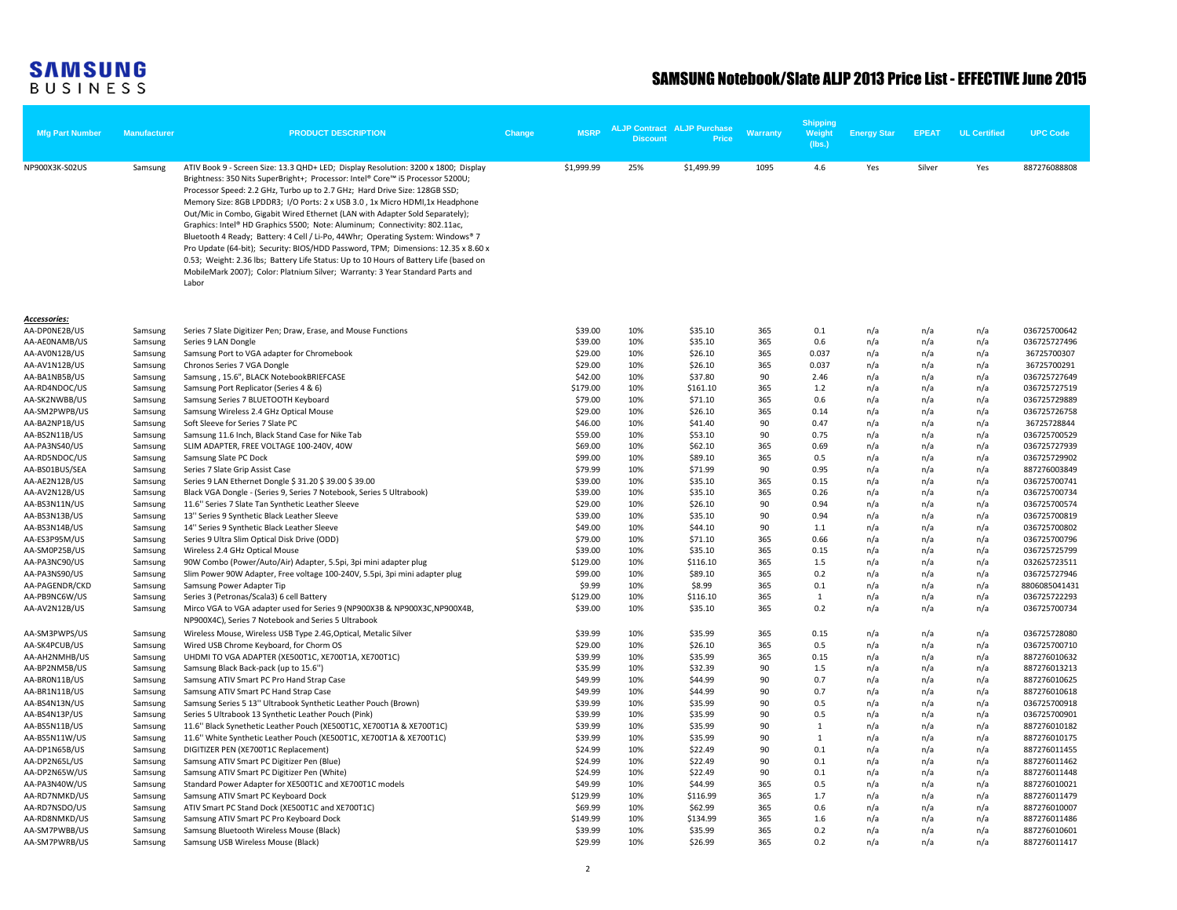|                        |                     |                                                                                                                                                                                                                                                                                                                                                                                                                                                                                                                                                                                                                                                                                                                                                                                                                                                            |        |             |                 |                                             |                 | Shipping         |                    |              |                     |                 |
|------------------------|---------------------|------------------------------------------------------------------------------------------------------------------------------------------------------------------------------------------------------------------------------------------------------------------------------------------------------------------------------------------------------------------------------------------------------------------------------------------------------------------------------------------------------------------------------------------------------------------------------------------------------------------------------------------------------------------------------------------------------------------------------------------------------------------------------------------------------------------------------------------------------------|--------|-------------|-----------------|---------------------------------------------|-----------------|------------------|--------------------|--------------|---------------------|-----------------|
| <b>Mfg Part Number</b> | <b>Manufacturer</b> | <b>PRODUCT DESCRIPTION</b>                                                                                                                                                                                                                                                                                                                                                                                                                                                                                                                                                                                                                                                                                                                                                                                                                                 | Change | <b>MSRP</b> | <b>Discount</b> | <b>ALJP Contract ALJP Purchase</b><br>Price | <b>Warranty</b> | Weight<br>(lbs.) | <b>Energy Star</b> | <b>EPEAT</b> | <b>UL Certified</b> | <b>UPC Code</b> |
|                        |                     |                                                                                                                                                                                                                                                                                                                                                                                                                                                                                                                                                                                                                                                                                                                                                                                                                                                            |        |             |                 |                                             |                 |                  |                    |              |                     |                 |
| NP900X3K-S02US         | Samsung             | ATIV Book 9 - Screen Size: 13.3 QHD+ LED; Display Resolution: 3200 x 1800; Display<br>Brightness: 350 Nits SuperBright+; Processor: Intel® Core™ i5 Processor 5200U;<br>Processor Speed: 2.2 GHz, Turbo up to 2.7 GHz; Hard Drive Size: 128GB SSD;<br>Memory Size: 8GB LPDDR3; I/O Ports: 2 x USB 3.0, 1x Micro HDMI,1x Headphone<br>Out/Mic in Combo, Gigabit Wired Ethernet (LAN with Adapter Sold Separately);<br>Graphics: Intel® HD Graphics 5500; Note: Aluminum; Connectivity: 802.11ac,<br>Bluetooth 4 Ready; Battery: 4 Cell / Li-Po, 44Whr; Operating System: Windows® 7<br>Pro Update (64-bit); Security: BIOS/HDD Password, TPM; Dimensions: 12.35 x 8.60 x<br>0.53; Weight: 2.36 lbs; Battery Life Status: Up to 10 Hours of Battery Life (based on<br>MobileMark 2007); Color: Platnium Silver; Warranty: 3 Year Standard Parts and<br>Labor |        | \$1,999.99  | 25%             | \$1,499.99                                  | 1095            | 4.6              | Yes                | Silver       | Yes                 | 887276088808    |
| <b>Accessories:</b>    |                     |                                                                                                                                                                                                                                                                                                                                                                                                                                                                                                                                                                                                                                                                                                                                                                                                                                                            |        |             |                 |                                             |                 |                  |                    |              |                     |                 |
| AA-DPONE2B/US          | Samsung             | Series 7 Slate Digitizer Pen; Draw, Erase, and Mouse Functions                                                                                                                                                                                                                                                                                                                                                                                                                                                                                                                                                                                                                                                                                                                                                                                             |        | \$39.00     | 10%             | \$35.10                                     | 365             | 0.1              | n/a                | n/a          | n/a                 | 036725700642    |
| AA-AE0NAMB/US          | Samsung             | Series 9 LAN Dongle                                                                                                                                                                                                                                                                                                                                                                                                                                                                                                                                                                                                                                                                                                                                                                                                                                        |        | \$39.00     | 10%             | \$35.10                                     | 365             | 0.6              | n/a                | n/a          | n/a                 | 036725727496    |
| AA-AV0N12B/US          | Samsung             | Samsung Port to VGA adapter for Chromebook                                                                                                                                                                                                                                                                                                                                                                                                                                                                                                                                                                                                                                                                                                                                                                                                                 |        | \$29.00     | 10%             | \$26.10                                     | 365             | 0.037            | n/a                | n/a          | n/a                 | 36725700307     |
| AA-AV1N12B/US          | Samsung             | Chronos Series 7 VGA Dongle                                                                                                                                                                                                                                                                                                                                                                                                                                                                                                                                                                                                                                                                                                                                                                                                                                |        | \$29.00     | 10%             | \$26.10                                     | 365             | 0.037            | n/a                | n/a          | n/a                 | 36725700291     |
| AA-BA1NB5B/US          | Samsung             | Samsung, 15.6", BLACK NotebookBRIEFCASE                                                                                                                                                                                                                                                                                                                                                                                                                                                                                                                                                                                                                                                                                                                                                                                                                    |        | \$42.00     | 10%             | \$37.80                                     | 90              | 2.46             | n/a                | n/a          | n/a                 | 036725727649    |
| AA-RD4NDOC/US          | Samsung             | Samsung Port Replicator (Series 4 & 6)                                                                                                                                                                                                                                                                                                                                                                                                                                                                                                                                                                                                                                                                                                                                                                                                                     |        | \$179.00    | 10%             | \$161.10                                    | 365             | 1.2              | n/a                | n/a          | n/a                 | 036725727519    |
| AA-SK2NWBB/US          | Samsung             | Samsung Series 7 BLUETOOTH Keyboard                                                                                                                                                                                                                                                                                                                                                                                                                                                                                                                                                                                                                                                                                                                                                                                                                        |        | \$79.00     | 10%             | \$71.10                                     | 365             | 0.6              | n/a                | n/a          | n/a                 | 036725729889    |
| AA-SM2PWPB/US          | Samsung             | Samsung Wireless 2.4 GHz Optical Mouse                                                                                                                                                                                                                                                                                                                                                                                                                                                                                                                                                                                                                                                                                                                                                                                                                     |        | \$29.00     | 10%             | \$26.10                                     | 365             | 0.14             | n/a                | n/a          | n/a                 | 036725726758    |
| AA-BA2NP1B/US          | Samsung             | Soft Sleeve for Series 7 Slate PC                                                                                                                                                                                                                                                                                                                                                                                                                                                                                                                                                                                                                                                                                                                                                                                                                          |        | \$46.00     | 10%             | \$41.40                                     | 90              | 0.47             | n/a                | n/a          | n/a                 | 36725728844     |
| AA-BS2N11B/US          | Samsung             | Samsung 11.6 Inch, Black Stand Case for Nike Tab                                                                                                                                                                                                                                                                                                                                                                                                                                                                                                                                                                                                                                                                                                                                                                                                           |        | \$59.00     | 10%             | \$53.10                                     | 90              | 0.75             | n/a                | n/a          | n/a                 | 036725700529    |
| AA-PA3NS40/US          | Samsung             | SLIM ADAPTER, FREE VOLTAGE 100-240V, 40W                                                                                                                                                                                                                                                                                                                                                                                                                                                                                                                                                                                                                                                                                                                                                                                                                   |        | \$69.00     | 10%             | \$62.10                                     | 365             | 0.69             | n/a                | n/a          | n/a                 | 036725727939    |
| AA-RD5NDOC/US          | Samsung             | Samsung Slate PC Dock                                                                                                                                                                                                                                                                                                                                                                                                                                                                                                                                                                                                                                                                                                                                                                                                                                      |        | \$99.00     | 10%             | \$89.10                                     | 365             | 0.5              | n/a                | n/a          | n/a                 | 036725729902    |
| AA-BS01BUS/SEA         | Samsung             | Series 7 Slate Grip Assist Case                                                                                                                                                                                                                                                                                                                                                                                                                                                                                                                                                                                                                                                                                                                                                                                                                            |        | \$79.99     | 10%             | \$71.99                                     | 90              | 0.95             | n/a                | n/a          | n/a                 | 887276003849    |
| AA-AE2N12B/US          | Samsung             | Series 9 LAN Ethernet Dongle \$ 31.20 \$ 39.00 \$ 39.00                                                                                                                                                                                                                                                                                                                                                                                                                                                                                                                                                                                                                                                                                                                                                                                                    |        | \$39.00     | 10%             | \$35.10                                     | 365             | 0.15             | n/a                | n/a          | n/a                 | 036725700741    |
| AA-AV2N12B/US          | Samsung             | Black VGA Dongle - (Series 9, Series 7 Notebook, Series 5 Ultrabook)                                                                                                                                                                                                                                                                                                                                                                                                                                                                                                                                                                                                                                                                                                                                                                                       |        | \$39.00     | 10%             | \$35.10                                     | 365             | 0.26             | n/a                | n/a          | n/a                 | 036725700734    |
| AA-BS3N11N/US          | Samsung             | 11.6" Series 7 Slate Tan Synthetic Leather Sleeve                                                                                                                                                                                                                                                                                                                                                                                                                                                                                                                                                                                                                                                                                                                                                                                                          |        | \$29.00     | 10%             | \$26.10                                     | 90              | 0.94             | n/a                | n/a          | n/a                 | 036725700574    |
| AA-BS3N13B/US          | Samsung             | 13" Series 9 Synthetic Black Leather Sleeve                                                                                                                                                                                                                                                                                                                                                                                                                                                                                                                                                                                                                                                                                                                                                                                                                |        | \$39.00     | 10%             | \$35.10                                     | 90              | 0.94             | n/a                | n/a          | n/a                 | 036725700819    |
| AA-BS3N14B/US          | Samsung             | 14" Series 9 Synthetic Black Leather Sleeve                                                                                                                                                                                                                                                                                                                                                                                                                                                                                                                                                                                                                                                                                                                                                                                                                |        | \$49.00     | 10%             | \$44.10                                     | 90              | 1.1              | n/a                | n/a          | n/a                 | 036725700802    |
| AA-ES3P95M/US          | Samsung             | Series 9 Ultra Slim Optical Disk Drive (ODD)                                                                                                                                                                                                                                                                                                                                                                                                                                                                                                                                                                                                                                                                                                                                                                                                               |        | \$79.00     | 10%             | \$71.10                                     | 365             | 0.66             | n/a                | n/a          | n/a                 | 036725700796    |
| AA-SM0P25B/US          | Samsung             | Wireless 2.4 GHz Optical Mouse                                                                                                                                                                                                                                                                                                                                                                                                                                                                                                                                                                                                                                                                                                                                                                                                                             |        | \$39.00     | 10%             | \$35.10                                     | 365             | 0.15             | n/a                | n/a          | n/a                 | 036725725799    |
| AA-PA3NC90/US          | Samsung             | 90W Combo (Power/Auto/Air) Adapter, 5.5pi, 3pi mini adapter plug                                                                                                                                                                                                                                                                                                                                                                                                                                                                                                                                                                                                                                                                                                                                                                                           |        | \$129.00    | 10%             | \$116.10                                    | 365             | 1.5              | n/a                | n/a          | n/a                 | 032625723511    |
| AA-PA3NS90/US          | Samsung             | Slim Power 90W Adapter, Free voltage 100-240V, 5.5pi, 3pi mini adapter plug                                                                                                                                                                                                                                                                                                                                                                                                                                                                                                                                                                                                                                                                                                                                                                                |        | \$99.00     | 10%             | \$89.10                                     | 365             | 0.2              | n/a                | n/a          | n/a                 | 036725727946    |
| AA-PAGENDR/CKD         | Samsung             | Samsung Power Adapter Tip                                                                                                                                                                                                                                                                                                                                                                                                                                                                                                                                                                                                                                                                                                                                                                                                                                  |        | \$9.99      | 10%             | \$8.99                                      | 365             | 0.1              | n/a                | n/a          | n/a                 | 8806085041431   |
| AA-PB9NC6W/US          | Samsung             | Series 3 (Petronas/Scala3) 6 cell Battery                                                                                                                                                                                                                                                                                                                                                                                                                                                                                                                                                                                                                                                                                                                                                                                                                  |        | \$129.00    | 10%             | \$116.10                                    | 365             | 1                | n/a                | n/a          | n/a                 | 036725722293    |
| AA-AV2N12B/US          | Samsung             | Mirco VGA to VGA adapter used for Series 9 (NP900X3B & NP900X3C, NP900X4B,                                                                                                                                                                                                                                                                                                                                                                                                                                                                                                                                                                                                                                                                                                                                                                                 |        | \$39.00     | 10%             | \$35.10                                     | 365             | 0.2              | n/a                | n/a          | n/a                 | 036725700734    |
|                        |                     | NP900X4C), Series 7 Notebook and Series 5 Ultrabook                                                                                                                                                                                                                                                                                                                                                                                                                                                                                                                                                                                                                                                                                                                                                                                                        |        |             |                 |                                             |                 |                  |                    |              |                     |                 |
| AA-SM3PWPS/US          | Samsung             | Wireless Mouse, Wireless USB Type 2.4G, Optical, Metalic Silver                                                                                                                                                                                                                                                                                                                                                                                                                                                                                                                                                                                                                                                                                                                                                                                            |        | \$39.99     | 10%             | \$35.99                                     | 365             | 0.15             | n/a                | n/a          | n/a                 | 036725728080    |
| AA-SK4PCUB/US          | Samsung             | Wired USB Chrome Keyboard, for Chorm OS                                                                                                                                                                                                                                                                                                                                                                                                                                                                                                                                                                                                                                                                                                                                                                                                                    |        | \$29.00     | 10%             | \$26.10                                     | 365             | 0.5              | n/a                | n/a          | n/a                 | 036725700710    |
| AA-AH2NMHB/US          | Samsung             | UHDMI TO VGA ADAPTER (XE500T1C, XE700T1A, XE700T1C)                                                                                                                                                                                                                                                                                                                                                                                                                                                                                                                                                                                                                                                                                                                                                                                                        |        | \$39.99     | 10%             | \$35.99                                     | 365             | 0.15             | n/a                | n/a          | n/a                 | 887276010632    |
| AA-BP2NM5B/US          | Samsung             | Samsung Black Back-pack (up to 15.6")                                                                                                                                                                                                                                                                                                                                                                                                                                                                                                                                                                                                                                                                                                                                                                                                                      |        | \$35.99     | 10%             | \$32.39                                     | 90              | 1.5              | n/a                | n/a          | n/a                 | 887276013213    |
| AA-BRON11B/US          | Samsung             | Samsung ATIV Smart PC Pro Hand Strap Case                                                                                                                                                                                                                                                                                                                                                                                                                                                                                                                                                                                                                                                                                                                                                                                                                  |        | \$49.99     | 10%             | \$44.99                                     | 90              | 0.7              | n/a                | n/a          | n/a                 | 887276010625    |
| AA-BR1N11B/US          | Samsung             | Samsung ATIV Smart PC Hand Strap Case                                                                                                                                                                                                                                                                                                                                                                                                                                                                                                                                                                                                                                                                                                                                                                                                                      |        | \$49.99     | 10%             | \$44.99                                     | 90              | 0.7              | n/a                | n/a          | n/a                 | 887276010618    |
| AA-BS4N13N/US          | Samsung             | Samsung Series 5 13" Ultrabook Synthetic Leather Pouch (Brown)                                                                                                                                                                                                                                                                                                                                                                                                                                                                                                                                                                                                                                                                                                                                                                                             |        | \$39.99     | 10%             | \$35.99                                     | 90              | 0.5              | n/a                | n/a          | n/a                 | 036725700918    |
| AA-BS4N13P/US          | Samsung             | Series 5 Ultrabook 13 Synthetic Leather Pouch (Pink)                                                                                                                                                                                                                                                                                                                                                                                                                                                                                                                                                                                                                                                                                                                                                                                                       |        | \$39.99     | 10%             | \$35.99                                     | 90              | 0.5              | n/a                | n/a          | n/a                 | 036725700901    |
| AA-BS5N11B/US          | Samsung             | 11.6" Black Synethetic Leather Pouch (XE500T1C, XE700T1A & XE700T1C)                                                                                                                                                                                                                                                                                                                                                                                                                                                                                                                                                                                                                                                                                                                                                                                       |        | \$39.99     | 10%             | \$35.99                                     | 90              | 1                | n/a                | n/a          | n/a                 | 887276010182    |
| AA-BS5N11W/US          | Samsung             | 11.6" White Synthetic Leather Pouch (XE500T1C, XE700T1A & XE700T1C)                                                                                                                                                                                                                                                                                                                                                                                                                                                                                                                                                                                                                                                                                                                                                                                        |        | \$39.99     | 10%             | \$35.99                                     | 90              | 1                | n/a                | n/a          | n/a                 | 887276010175    |
| AA-DP1N65B/US          | Samsung             | DIGITIZER PEN (XE700T1C Replacement)                                                                                                                                                                                                                                                                                                                                                                                                                                                                                                                                                                                                                                                                                                                                                                                                                       |        | \$24.99     | 10%             | \$22.49                                     | 90              | 0.1              | n/a                | n/a          | n/a                 | 887276011455    |
| AA-DP2N65L/US          | Samsung             | Samsung ATIV Smart PC Digitizer Pen (Blue)                                                                                                                                                                                                                                                                                                                                                                                                                                                                                                                                                                                                                                                                                                                                                                                                                 |        | \$24.99     | 10%             | \$22.49                                     | 90              | 0.1              | n/a                | n/a          | n/a                 | 887276011462    |
| AA-DP2N65W/US          | Samsung             | Samsung ATIV Smart PC Digitizer Pen (White)                                                                                                                                                                                                                                                                                                                                                                                                                                                                                                                                                                                                                                                                                                                                                                                                                |        | \$24.99     | 10%             | \$22.49                                     | 90              | 0.1              | n/a                | n/a          | n/a                 | 887276011448    |
| AA-PA3N40W/US          | Samsung             | Standard Power Adapter for XE500T1C and XE700T1C models                                                                                                                                                                                                                                                                                                                                                                                                                                                                                                                                                                                                                                                                                                                                                                                                    |        | \$49.99     | 10%             | \$44.99                                     | 365             | 0.5              | n/a                | n/a          | n/a                 | 887276010021    |
| AA-RD7NMKD/US          | Samsung             | Samsung ATIV Smart PC Keyboard Dock                                                                                                                                                                                                                                                                                                                                                                                                                                                                                                                                                                                                                                                                                                                                                                                                                        |        | \$129.99    | 10%             | \$116.99                                    | 365             | 1.7              | n/a                | n/a          | n/a                 | 887276011479    |
| AA-RD7NSDO/US          | Samsung             | ATIV Smart PC Stand Dock (XE500T1C and XE700T1C)                                                                                                                                                                                                                                                                                                                                                                                                                                                                                                                                                                                                                                                                                                                                                                                                           |        | \$69.99     | 10%             | \$62.99                                     | 365             | 0.6              | n/a                | n/a          | n/a                 | 887276010007    |
| AA-RD8NMKD/US          | Samsung             | Samsung ATIV Smart PC Pro Keyboard Dock                                                                                                                                                                                                                                                                                                                                                                                                                                                                                                                                                                                                                                                                                                                                                                                                                    |        | \$149.99    | 10%             | \$134.99                                    | 365             | 1.6              | n/a                | n/a          | n/a                 | 887276011486    |
| AA-SM7PWBB/US          | Samsung             | Samsung Bluetooth Wireless Mouse (Black)                                                                                                                                                                                                                                                                                                                                                                                                                                                                                                                                                                                                                                                                                                                                                                                                                   |        | \$39.99     | 10%             | \$35.99                                     | 365             | 0.2              | n/a                | n/a          | n/a                 | 887276010601    |
| AA-SM7PWRB/US          | Samsung             | Samsung USB Wireless Mouse (Black)                                                                                                                                                                                                                                                                                                                                                                                                                                                                                                                                                                                                                                                                                                                                                                                                                         |        | \$29.99     | 10%             | \$26.99                                     | 365             | 0.2              | n/a                | n/a          | n/a                 | 887276011417    |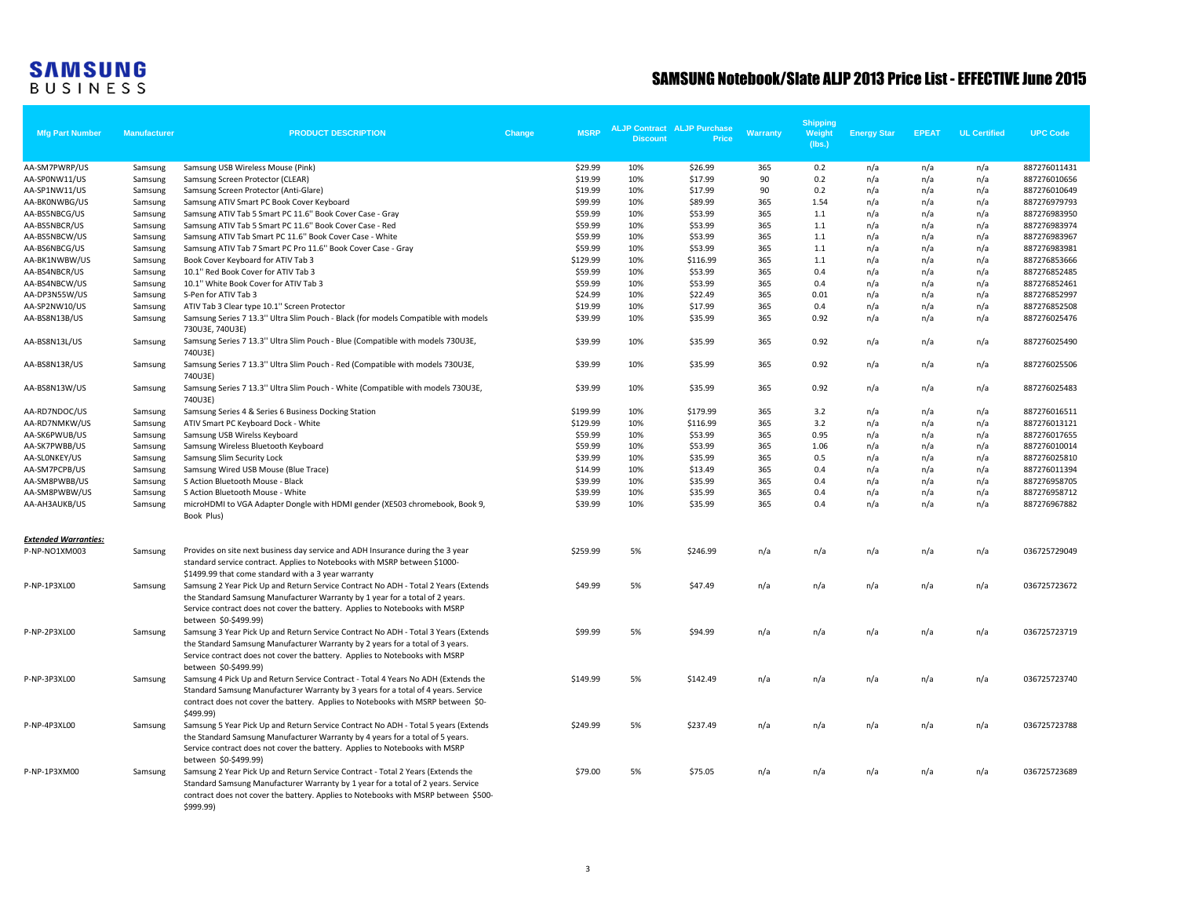| <b>Mfg Part Number</b>                       | <b>Manufacturer</b> | <b>PRODUCT DESCRIPTION</b>                                                                                                                                                                                                                                                                       | Change | <b>MSRP</b> | <b>Discount</b> | <b>ALJP Contract ALJP Purchase</b><br>Price | <b>Warranty</b> | Shipping<br>Weight<br>(lbs.) | <b>Energy Star</b> | <b>EPEAT</b> | <b>UL Certified</b> | <b>UPC Code</b> |
|----------------------------------------------|---------------------|--------------------------------------------------------------------------------------------------------------------------------------------------------------------------------------------------------------------------------------------------------------------------------------------------|--------|-------------|-----------------|---------------------------------------------|-----------------|------------------------------|--------------------|--------------|---------------------|-----------------|
| AA-SM7PWRP/US                                | Samsung             | Samsung USB Wireless Mouse (Pink)                                                                                                                                                                                                                                                                |        | \$29.99     | 10%             | \$26.99                                     | 365             | 0.2                          | n/a                | n/a          | n/a                 | 887276011431    |
| AA-SP0NW11/US                                | Samsung             | Samsung Screen Protector (CLEAR)                                                                                                                                                                                                                                                                 |        | \$19.99     | 10%             | \$17.99                                     | 90              | 0.2                          | n/a                | n/a          | n/a                 | 887276010656    |
| AA-SP1NW11/US                                | Samsung             | Samsung Screen Protector (Anti-Glare)                                                                                                                                                                                                                                                            |        | \$19.99     | 10%             | \$17.99                                     | 90              | 0.2                          | n/a                | n/a          | n/a                 | 887276010649    |
| AA-BKONWBG/US                                | Samsung             | Samsung ATIV Smart PC Book Cover Keyboard                                                                                                                                                                                                                                                        |        | \$99.99     | 10%             | \$89.99                                     | 365             | 1.54                         | n/a                | n/a          | n/a                 | 887276979793    |
| AA-BS5NBCG/US                                | Samsung             | Samsung ATIV Tab 5 Smart PC 11.6" Book Cover Case - Gray                                                                                                                                                                                                                                         |        | \$59.99     | 10%             | \$53.99                                     | 365             | 1.1                          | n/a                | n/a          | n/a                 | 887276983950    |
| AA-BS5NBCR/US                                | Samsung             | Samsung ATIV Tab 5 Smart PC 11.6" Book Cover Case - Red                                                                                                                                                                                                                                          |        | \$59.99     | 10%             | \$53.99                                     | 365             | 1.1                          | n/a                | n/a          | n/a                 | 887276983974    |
| AA-BS5NBCW/US                                | Samsung             | Samsung ATIV Tab Smart PC 11.6" Book Cover Case - White                                                                                                                                                                                                                                          |        | \$59.99     | 10%             | \$53.99                                     | 365             | 1.1                          | n/a                | n/a          | n/a                 | 887276983967    |
| AA-BS6NBCG/US                                | Samsung             | Samsung ATIV Tab 7 Smart PC Pro 11.6" Book Cover Case - Gray                                                                                                                                                                                                                                     |        | \$59.99     | 10%             | \$53.99                                     | 365             | 1.1                          | n/a                | n/a          | n/a                 | 887276983981    |
| AA-BK1NWBW/US                                | Samsung             | Book Cover Keyboard for ATIV Tab 3                                                                                                                                                                                                                                                               |        | \$129.99    | 10%             | \$116.99                                    | 365             | 1.1                          | n/a                | n/a          | n/a                 | 887276853666    |
| AA-BS4NBCR/US                                | Samsung             | 10.1" Red Book Cover for ATIV Tab 3                                                                                                                                                                                                                                                              |        | \$59.99     | 10%             | \$53.99                                     | 365             | 0.4                          | n/a                | n/a          | n/a                 | 887276852485    |
| AA-BS4NBCW/US                                | Samsung             | 10.1" White Book Cover for ATIV Tab 3                                                                                                                                                                                                                                                            |        | \$59.99     | 10%             | \$53.99                                     | 365             | 0.4                          | n/a                | n/a          | n/a                 | 887276852461    |
| AA-DP3N55W/US                                | Samsung             | S-Pen for ATIV Tab 3                                                                                                                                                                                                                                                                             |        | \$24.99     | 10%             | \$22.49                                     | 365             | 0.01                         | n/a                | n/a          | n/a                 | 887276852997    |
| AA-SP2NW10/US                                | Samsung             | ATIV Tab 3 Clear type 10.1" Screen Protector                                                                                                                                                                                                                                                     |        | \$19.99     | 10%             | \$17.99                                     | 365             | 0.4                          | n/a                | n/a          | n/a                 | 887276852508    |
| AA-BS8N13B/US                                | Samsung             | Samsung Series 7 13.3" Ultra Slim Pouch - Black (for models Compatible with models<br>730U3E, 740U3E)                                                                                                                                                                                            |        | \$39.99     | 10%             | \$35.99                                     | 365             | 0.92                         | n/a                | n/a          | n/a                 | 887276025476    |
| AA-BS8N13L/US                                | Samsung             | Samsung Series 7 13.3" Ultra Slim Pouch - Blue (Compatible with models 730U3E,<br>740U3E)                                                                                                                                                                                                        |        | \$39.99     | 10%             | \$35.99                                     | 365             | 0.92                         | n/a                | n/a          | n/a                 | 887276025490    |
| AA-BS8N13R/US                                | Samsung             | Samsung Series 7 13.3" Ultra Slim Pouch - Red (Compatible with models 730U3E,<br>740U3E)                                                                                                                                                                                                         |        | \$39.99     | 10%             | \$35.99                                     | 365             | 0.92                         | n/a                | n/a          | n/a                 | 887276025506    |
| AA-BS8N13W/US                                | Samsung             | Samsung Series 7 13.3" Ultra Slim Pouch - White (Compatible with models 730U3E,<br>740U3E)                                                                                                                                                                                                       |        | \$39.99     | 10%             | \$35.99                                     | 365             | 0.92                         | n/a                | n/a          | n/a                 | 887276025483    |
| AA-RD7NDOC/US                                | Samsung             | Samsung Series 4 & Series 6 Business Docking Station                                                                                                                                                                                                                                             |        | \$199.99    | 10%             | \$179.99                                    | 365             | 3.2                          | n/a                | n/a          | n/a                 | 887276016511    |
| AA-RD7NMKW/US                                | Samsung             | ATIV Smart PC Keyboard Dock - White                                                                                                                                                                                                                                                              |        | \$129.99    | 10%             | \$116.99                                    | 365             | 3.2                          | n/a                | n/a          | n/a                 | 887276013121    |
| AA-SK6PWUB/US                                | Samsung             | Samsung USB Wirelss Keyboard                                                                                                                                                                                                                                                                     |        | \$59.99     | 10%             | \$53.99                                     | 365             | 0.95                         | n/a                | n/a          | n/a                 | 887276017655    |
| AA-SK7PWBB/US                                | Samsung             | Samsung Wireless Bluetooth Keyboard                                                                                                                                                                                                                                                              |        | \$59.99     | 10%             | \$53.99                                     | 365             | 1.06                         | n/a                | n/a          | n/a                 | 887276010014    |
| AA-SLONKEY/US                                | Samsung             | Samsung Slim Security Lock                                                                                                                                                                                                                                                                       |        | \$39.99     | 10%             | \$35.99                                     | 365             | 0.5                          | n/a                | n/a          | n/a                 | 887276025810    |
| AA-SM7PCPB/US                                | Samsung             | Samsung Wired USB Mouse (Blue Trace)                                                                                                                                                                                                                                                             |        | \$14.99     | 10%             | \$13.49                                     | 365             | 0.4                          | n/a                | n/a          | n/a                 | 887276011394    |
| AA-SM8PWBB/US                                | Samsung             | S Action Bluetooth Mouse - Black                                                                                                                                                                                                                                                                 |        | \$39.99     | 10%             | \$35.99                                     | 365             | 0.4                          | n/a                | n/a          | n/a                 | 887276958705    |
| AA-SM8PWBW/US                                | Samsung             | S Action Bluetooth Mouse - White                                                                                                                                                                                                                                                                 |        | \$39.99     | 10%             | \$35.99                                     | 365             | 0.4                          | n/a                | n/a          | n/a                 | 887276958712    |
| AA-AH3AUKB/US                                | Samsung             | microHDMI to VGA Adapter Dongle with HDMI gender (XE503 chromebook, Book 9,<br>Book Plus)                                                                                                                                                                                                        |        | \$39.99     | 10%             | \$35.99                                     | 365             | 0.4                          | n/a                | n/a          | n/a                 | 887276967882    |
| <b>Extended Warranties:</b><br>P-NP-NO1XM003 | Samsung             | Provides on site next business day service and ADH Insurance during the 3 year                                                                                                                                                                                                                   |        | \$259.99    | 5%              | \$246.99                                    | n/a             | n/a                          | n/a                | n/a          | n/a                 | 036725729049    |
|                                              |                     | standard service contract. Applies to Notebooks with MSRP between \$1000-<br>\$1499.99 that come standard with a 3 year warranty                                                                                                                                                                 |        |             |                 |                                             |                 |                              |                    |              |                     |                 |
| P-NP-1P3XL00                                 | Samsung             | Samsung 2 Year Pick Up and Return Service Contract No ADH - Total 2 Years (Extends<br>the Standard Samsung Manufacturer Warranty by 1 year for a total of 2 years.<br>Service contract does not cover the battery. Applies to Notebooks with MSRP<br>between \$0-\$499.99)                       |        | \$49.99     | 5%              | \$47.49                                     | n/a             | n/a                          | n/a                | n/a          | n/a                 | 036725723672    |
| P-NP-2P3XL00                                 | Samsung             | Samsung 3 Year Pick Up and Return Service Contract No ADH - Total 3 Years (Extends<br>the Standard Samsung Manufacturer Warranty by 2 years for a total of 3 years.<br>Service contract does not cover the battery. Applies to Notebooks with MSRP                                               |        | \$99.99     | 5%              | \$94.99                                     | n/a             | n/a                          | n/a                | n/a          | n/a                 | 036725723719    |
| P-NP-3P3XL00                                 | Samsung             | between \$0-\$499.99)<br>Samsung 4 Pick Up and Return Service Contract - Total 4 Years No ADH (Extends the<br>Standard Samsung Manufacturer Warranty by 3 years for a total of 4 years. Service<br>contract does not cover the battery. Applies to Notebooks with MSRP between \$0-<br>\$499.99) |        | \$149.99    | 5%              | \$142.49                                    | n/a             | n/a                          | n/a                | n/a          | n/a                 | 036725723740    |
| P-NP-4P3XL00                                 | Samsung             | Samsung 5 Year Pick Up and Return Service Contract No ADH - Total 5 years (Extends<br>the Standard Samsung Manufacturer Warranty by 4 years for a total of 5 years.<br>Service contract does not cover the battery. Applies to Notebooks with MSRP<br>between \$0-\$499.99)                      |        | \$249.99    | 5%              | \$237.49                                    | n/a             | n/a                          | n/a                | n/a          | n/a                 | 036725723788    |
| P-NP-1P3XM00                                 | Samsung             | Samsung 2 Year Pick Up and Return Service Contract - Total 2 Years (Extends the<br>Standard Samsung Manufacturer Warranty by 1 year for a total of 2 years. Service<br>contract does not cover the battery. Applies to Notebooks with MSRP between \$500-<br>\$999.99)                           |        | \$79.00     | 5%              | \$75.05                                     | n/a             | n/a                          | n/a                | n/a          | n/a                 | 036725723689    |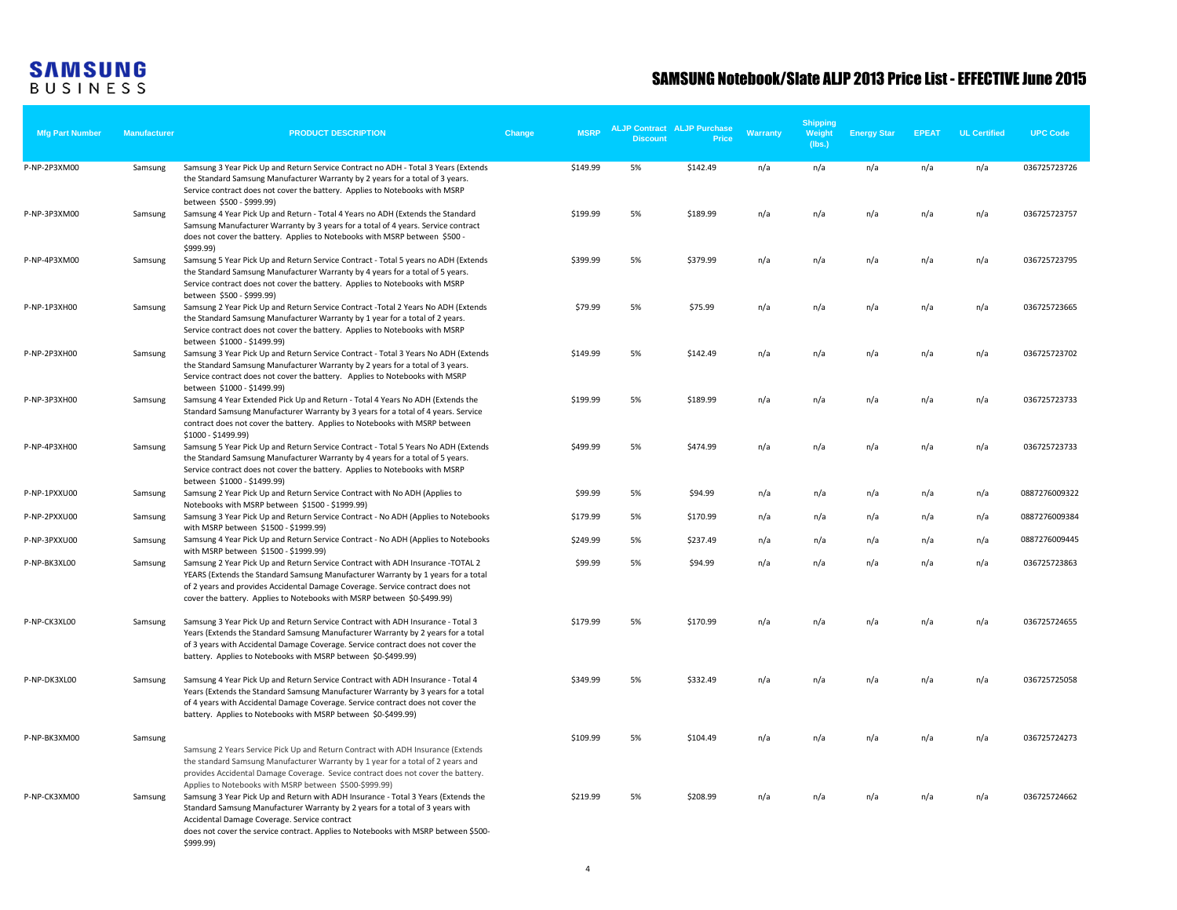| <b>Mfg Part Number</b> | <b>Manufacturer</b> | <b>PRODUCT DESCRIPTION</b>                                                                                                                                                                                                                                                                                                                                                      | Change | <b>MSRP</b> | <b>Discount</b> | <b>ALJP Contract ALJP Purchase</b><br>Price | Warranty | <b>Shipping</b><br>Weight<br>(lbs.) | <b>Energy Star</b> | <b>EPEAT</b> | <b>UL Certified</b> | <b>UPC Code</b> |
|------------------------|---------------------|---------------------------------------------------------------------------------------------------------------------------------------------------------------------------------------------------------------------------------------------------------------------------------------------------------------------------------------------------------------------------------|--------|-------------|-----------------|---------------------------------------------|----------|-------------------------------------|--------------------|--------------|---------------------|-----------------|
| P-NP-2P3XM00           | Samsung             | Samsung 3 Year Pick Up and Return Service Contract no ADH - Total 3 Years (Extends<br>the Standard Samsung Manufacturer Warranty by 2 years for a total of 3 years.<br>Service contract does not cover the battery. Applies to Notebooks with MSRP<br>between \$500 - \$999.99)                                                                                                 |        | \$149.99    | 5%              | \$142.49                                    | n/a      | n/a                                 | n/a                | n/a          | n/a                 | 036725723726    |
| P-NP-3P3XM00           | Samsung             | Samsung 4 Year Pick Up and Return - Total 4 Years no ADH (Extends the Standard<br>Samsung Manufacturer Warranty by 3 years for a total of 4 years. Service contract<br>does not cover the battery. Applies to Notebooks with MSRP between \$500 -<br>\$999.99)                                                                                                                  |        | \$199.99    | 5%              | \$189.99                                    | n/a      | n/a                                 | n/a                | n/a          | n/a                 | 036725723757    |
| P-NP-4P3XM00           | Samsung             | Samsung 5 Year Pick Up and Return Service Contract - Total 5 years no ADH (Extends<br>the Standard Samsung Manufacturer Warranty by 4 years for a total of 5 years.<br>Service contract does not cover the battery. Applies to Notebooks with MSRP<br>between \$500 - \$999.99)                                                                                                 |        | \$399.99    | 5%              | \$379.99                                    | n/a      | n/a                                 | n/a                | n/a          | n/a                 | 036725723795    |
| P-NP-1P3XH00           | Samsung             | Samsung 2 Year Pick Up and Return Service Contract -Total 2 Years No ADH (Extends<br>the Standard Samsung Manufacturer Warranty by 1 year for a total of 2 years.<br>Service contract does not cover the battery. Applies to Notebooks with MSRP<br>between \$1000 - \$1499.99)                                                                                                 |        | \$79.99     | 5%              | \$75.99                                     | n/a      | n/a                                 | n/a                | n/a          | n/a                 | 036725723665    |
| P-NP-2P3XH00           | Samsung             | Samsung 3 Year Pick Up and Return Service Contract - Total 3 Years No ADH (Extends<br>the Standard Samsung Manufacturer Warranty by 2 years for a total of 3 years.<br>Service contract does not cover the battery. Applies to Notebooks with MSRP<br>between \$1000 - \$1499.99)                                                                                               |        | \$149.99    | 5%              | \$142.49                                    | n/a      | n/a                                 | n/a                | n/a          | n/a                 | 036725723702    |
| P-NP-3P3XH00           | Samsung             | Samsung 4 Year Extended Pick Up and Return - Total 4 Years No ADH (Extends the<br>Standard Samsung Manufacturer Warranty by 3 years for a total of 4 years. Service<br>contract does not cover the battery. Applies to Notebooks with MSRP between<br>\$1000 - \$1499.99)                                                                                                       |        | \$199.99    | 5%              | \$189.99                                    | n/a      | n/a                                 | n/a                | n/a          | n/a                 | 036725723733    |
| P-NP-4P3XH00           | Samsung             | Samsung 5 Year Pick Up and Return Service Contract - Total 5 Years No ADH (Extends<br>the Standard Samsung Manufacturer Warranty by 4 years for a total of 5 years.<br>Service contract does not cover the battery. Applies to Notebooks with MSRP<br>between \$1000 - \$1499.99)                                                                                               |        | \$499.99    | 5%              | \$474.99                                    | n/a      | n/a                                 | n/a                | n/a          | n/a                 | 036725723733    |
| P-NP-1PXXU00           | Samsung             | Samsung 2 Year Pick Up and Return Service Contract with No ADH (Applies to<br>Notebooks with MSRP between \$1500 - \$1999.99)                                                                                                                                                                                                                                                   |        | \$99.99     | 5%              | \$94.99                                     | n/a      | n/a                                 | n/a                | n/a          | n/a                 | 0887276009322   |
| P-NP-2PXXU00           | Samsung             | Samsung 3 Year Pick Up and Return Service Contract - No ADH (Applies to Notebooks<br>with MSRP between \$1500 - \$1999.99)                                                                                                                                                                                                                                                      |        | \$179.99    | 5%              | \$170.99                                    | n/a      | n/a                                 | n/a                | n/a          | n/a                 | 0887276009384   |
| P-NP-3PXXU00           | Samsung             | Samsung 4 Year Pick Up and Return Service Contract - No ADH (Applies to Notebooks<br>with MSRP between \$1500 - \$1999.99)                                                                                                                                                                                                                                                      |        | \$249.99    | 5%              | \$237.49                                    | n/a      | n/a                                 | n/a                | n/a          | n/a                 | 0887276009445   |
| P-NP-BK3XL00           | Samsung             | Samsung 2 Year Pick Up and Return Service Contract with ADH Insurance -TOTAL 2<br>YEARS (Extends the Standard Samsung Manufacturer Warranty by 1 years for a total<br>of 2 years and provides Accidental Damage Coverage. Service contract does not<br>cover the battery. Applies to Notebooks with MSRP between \$0-\$499.99)                                                  |        | \$99.99     | 5%              | \$94.99                                     | n/a      | n/a                                 | n/a                | n/a          | n/a                 | 036725723863    |
| P-NP-CK3XL00           | Samsung             | Samsung 3 Year Pick Up and Return Service Contract with ADH Insurance - Total 3<br>Years (Extends the Standard Samsung Manufacturer Warranty by 2 years for a total<br>of 3 years with Accidental Damage Coverage. Service contract does not cover the<br>battery. Applies to Notebooks with MSRP between \$0-\$499.99)                                                         |        | \$179.99    | 5%              | \$170.99                                    | n/a      | n/a                                 | n/a                | n/a          | n/a                 | 036725724655    |
| P-NP-DK3XL00           | Samsung             | Samsung 4 Year Pick Up and Return Service Contract with ADH Insurance - Total 4<br>Years (Extends the Standard Samsung Manufacturer Warranty by 3 years for a total<br>of 4 years with Accidental Damage Coverage. Service contract does not cover the<br>battery. Applies to Notebooks with MSRP between \$0-\$499.99)                                                         |        | \$349.99    | 5%              | \$332.49                                    | n/a      | n/a                                 | n/a                | n/a          | n/a                 | 036725725058    |
| P-NP-BK3XM00           | Samsung             | Samsung 2 Years Service Pick Up and Return Contract with ADH Insurance (Extends<br>the standard Samsung Manufacturer Warranty by 1 year for a total of 2 years and<br>provides Accidental Damage Coverage. Sevice contract does not cover the battery.                                                                                                                          |        | \$109.99    | 5%              | \$104.49                                    | n/a      | n/a                                 | n/a                | n/a          | n/a                 | 036725724273    |
| P-NP-CK3XM00           | Samsung             | Applies to Notebooks with MSRP between \$500-\$999.99)<br>Samsung 3 Year Pick Up and Return with ADH Insurance - Total 3 Years (Extends the<br>Standard Samsung Manufacturer Warranty by 2 years for a total of 3 years with<br>Accidental Damage Coverage. Service contract<br>does not cover the service contract. Applies to Notebooks with MSRP between \$500-<br>\$999.99) |        | \$219.99    | 5%              | \$208.99                                    | n/a      | n/a                                 | n/a                | n/a          | n/a                 | 036725724662    |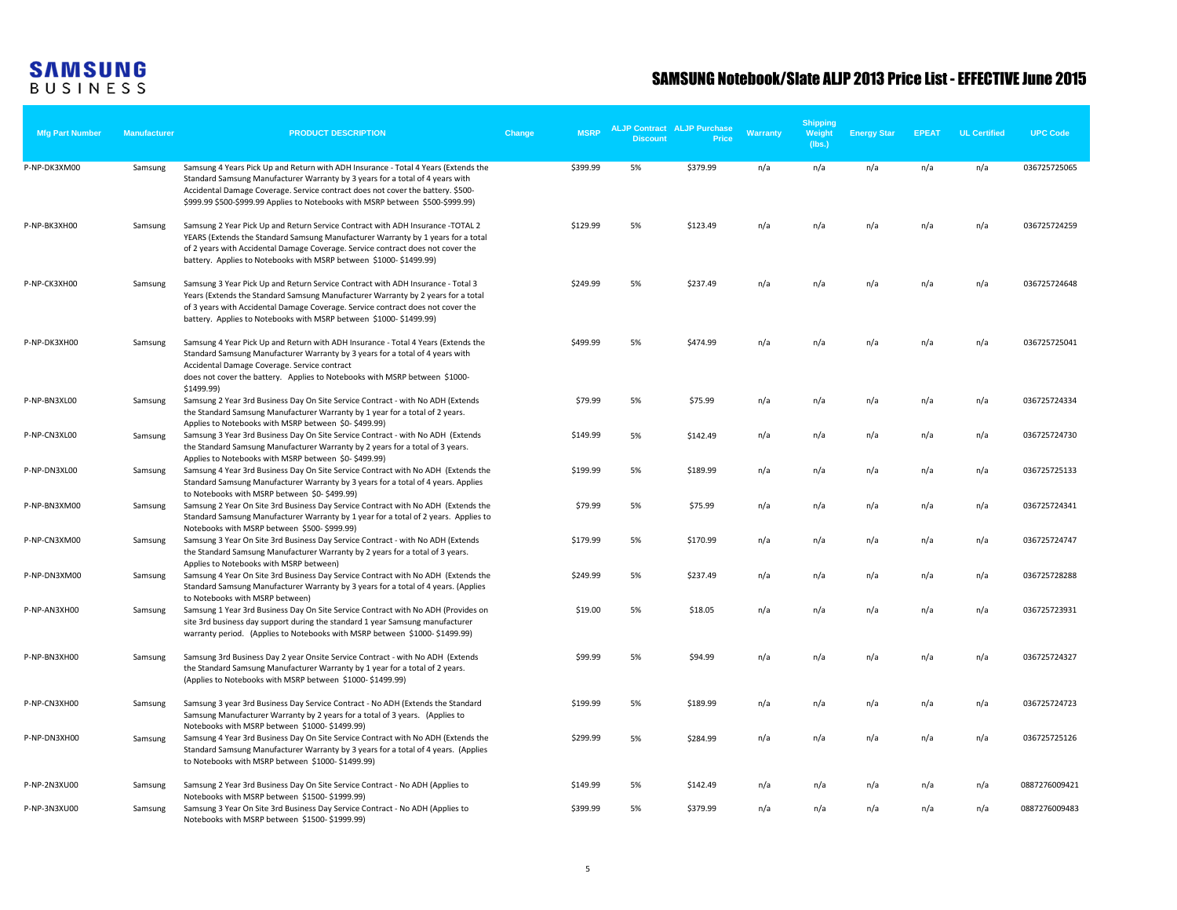| <b>Mfg Part Number</b> | <b>Manufacturer</b> | <b>PRODUCT DESCRIPTION</b>                                                                                                                                                                                                                                                                                                               | Change | <b>MSRP</b> | <b>Discount</b> | <b>ALJP Contract ALJP Purchase</b><br>Price | Warranty | <b>Shipping</b><br>Weight<br>(lbs.) | <b>Energy Star</b> | <b>EPEAT</b> | <b>UL Certified</b> | <b>UPC Code</b> |
|------------------------|---------------------|------------------------------------------------------------------------------------------------------------------------------------------------------------------------------------------------------------------------------------------------------------------------------------------------------------------------------------------|--------|-------------|-----------------|---------------------------------------------|----------|-------------------------------------|--------------------|--------------|---------------------|-----------------|
| P-NP-DK3XM00           | Samsung             | Samsung 4 Years Pick Up and Return with ADH Insurance - Total 4 Years (Extends the<br>Standard Samsung Manufacturer Warranty by 3 years for a total of 4 years with<br>Accidental Damage Coverage. Service contract does not cover the battery. \$500-<br>\$999.99 \$500-\$999.99 Applies to Notebooks with MSRP between \$500-\$999.99) |        | \$399.99    | 5%              | \$379.99                                    | n/a      | n/a                                 | n/a                | n/a          | n/a                 | 036725725065    |
| P-NP-BK3XH00           | Samsung             | Samsung 2 Year Pick Up and Return Service Contract with ADH Insurance -TOTAL 2<br>YEARS (Extends the Standard Samsung Manufacturer Warranty by 1 years for a total<br>of 2 years with Accidental Damage Coverage. Service contract does not cover the<br>battery. Applies to Notebooks with MSRP between \$1000-\$1499.99)               |        | \$129.99    | 5%              | \$123.49                                    | n/a      | n/a                                 | n/a                | n/a          | n/a                 | 036725724259    |
| P-NP-CK3XH00           | Samsung             | Samsung 3 Year Pick Up and Return Service Contract with ADH Insurance - Total 3<br>Years (Extends the Standard Samsung Manufacturer Warranty by 2 years for a total<br>of 3 years with Accidental Damage Coverage. Service contract does not cover the<br>battery. Applies to Notebooks with MSRP between \$1000-\$1499.99)              |        | \$249.99    | 5%              | \$237.49                                    | n/a      | n/a                                 | n/a                | n/a          | n/a                 | 036725724648    |
| P-NP-DK3XH00           | Samsung             | Samsung 4 Year Pick Up and Return with ADH Insurance - Total 4 Years (Extends the<br>Standard Samsung Manufacturer Warranty by 3 years for a total of 4 years with<br>Accidental Damage Coverage. Service contract<br>does not cover the battery. Applies to Notebooks with MSRP between \$1000-<br>\$1499.99)                           |        | \$499.99    | 5%              | \$474.99                                    | n/a      | n/a                                 | n/a                | n/a          | n/a                 | 036725725041    |
| P-NP-BN3XL00           | Samsung             | Samsung 2 Year 3rd Business Day On Site Service Contract - with No ADH (Extends<br>the Standard Samsung Manufacturer Warranty by 1 year for a total of 2 years.<br>Applies to Notebooks with MSRP between \$0-\$499.99)                                                                                                                  |        | \$79.99     | 5%              | \$75.99                                     | n/a      | n/a                                 | n/a                | n/a          | n/a                 | 036725724334    |
| P-NP-CN3XL00           | Samsung             | Samsung 3 Year 3rd Business Day On Site Service Contract - with No ADH (Extends<br>the Standard Samsung Manufacturer Warranty by 2 years for a total of 3 years.<br>Applies to Notebooks with MSRP between \$0-\$499.99)                                                                                                                 |        | \$149.99    | 5%              | \$142.49                                    | n/a      | n/a                                 | n/a                | n/a          | n/a                 | 036725724730    |
| P-NP-DN3XL00           | Samsung             | Samsung 4 Year 3rd Business Day On Site Service Contract with No ADH (Extends the<br>Standard Samsung Manufacturer Warranty by 3 years for a total of 4 years. Applies<br>to Notebooks with MSRP between \$0-\$499.99)                                                                                                                   |        | \$199.99    | 5%              | \$189.99                                    | n/a      | n/a                                 | n/a                | n/a          | n/a                 | 036725725133    |
| P-NP-BN3XM00           | Samsung             | Samsung 2 Year On Site 3rd Business Day Service Contract with No ADH (Extends the<br>Standard Samsung Manufacturer Warranty by 1 year for a total of 2 years. Applies to<br>Notebooks with MSRP between \$500-\$999.99)                                                                                                                  |        | \$79.99     | 5%              | \$75.99                                     | n/a      | n/a                                 | n/a                | n/a          | n/a                 | 036725724341    |
| P-NP-CN3XM00           | Samsung             | Samsung 3 Year On Site 3rd Business Day Service Contract - with No ADH (Extends<br>the Standard Samsung Manufacturer Warranty by 2 years for a total of 3 years.<br>Applies to Notebooks with MSRP between)                                                                                                                              |        | \$179.99    | 5%              | \$170.99                                    | n/a      | n/a                                 | n/a                | n/a          | n/a                 | 036725724747    |
| P-NP-DN3XM00           | Samsung             | Samsung 4 Year On Site 3rd Business Day Service Contract with No ADH (Extends the<br>Standard Samsung Manufacturer Warranty by 3 years for a total of 4 years. (Applies<br>to Notebooks with MSRP between)                                                                                                                               |        | \$249.99    | 5%              | \$237.49                                    | n/a      | n/a                                 | n/a                | n/a          | n/a                 | 036725728288    |
| P-NP-AN3XH00           | Samsung             | Samsung 1 Year 3rd Business Day On Site Service Contract with No ADH (Provides on<br>site 3rd business day support during the standard 1 year Samsung manufacturer<br>warranty period. (Applies to Notebooks with MSRP between \$1000-\$1499.99)                                                                                         |        | \$19.00     | 5%              | \$18.05                                     | n/a      | n/a                                 | n/a                | n/a          | n/a                 | 036725723931    |
| P-NP-BN3XH00           | Samsung             | Samsung 3rd Business Day 2 year Onsite Service Contract - with No ADH (Extends<br>the Standard Samsung Manufacturer Warranty by 1 year for a total of 2 years.<br>(Applies to Notebooks with MSRP between \$1000-\$1499.99)                                                                                                              |        | \$99.99     | 5%              | \$94.99                                     | n/a      | n/a                                 | n/a                | n/a          | n/a                 | 036725724327    |
| P-NP-CN3XH00           | Samsung             | Samsung 3 year 3rd Business Day Service Contract - No ADH (Extends the Standard<br>Samsung Manufacturer Warranty by 2 years for a total of 3 years. (Applies to<br>Notebooks with MSRP between \$1000-\$1499.99)                                                                                                                         |        | \$199.99    | 5%              | \$189.99                                    | n/a      | n/a                                 | n/a                | n/a          | n/a                 | 036725724723    |
| P-NP-DN3XH00           | Samsung             | Samsung 4 Year 3rd Business Day On Site Service Contract with No ADH (Extends the<br>Standard Samsung Manufacturer Warranty by 3 years for a total of 4 years. (Applies<br>to Notebooks with MSRP between \$1000-\$1499.99)                                                                                                              |        | \$299.99    | 5%              | \$284.99                                    | n/a      | n/a                                 | n/a                | n/a          | n/a                 | 036725725126    |
| P-NP-2N3XU00           | Samsung             | Samsung 2 Year 3rd Business Day On Site Service Contract - No ADH (Applies to<br>Notebooks with MSRP between \$1500-\$1999.99)                                                                                                                                                                                                           |        | \$149.99    | 5%              | \$142.49                                    | n/a      | n/a                                 | n/a                | n/a          | n/a                 | 0887276009421   |
| P-NP-3N3XU00           | Samsung             | Samsung 3 Year On Site 3rd Business Day Service Contract - No ADH (Applies to<br>Notebooks with MSRP between \$1500-\$1999.99)                                                                                                                                                                                                           |        | \$399.99    | 5%              | \$379.99                                    | n/a      | n/a                                 | n/a                | n/a          | n/a                 | 0887276009483   |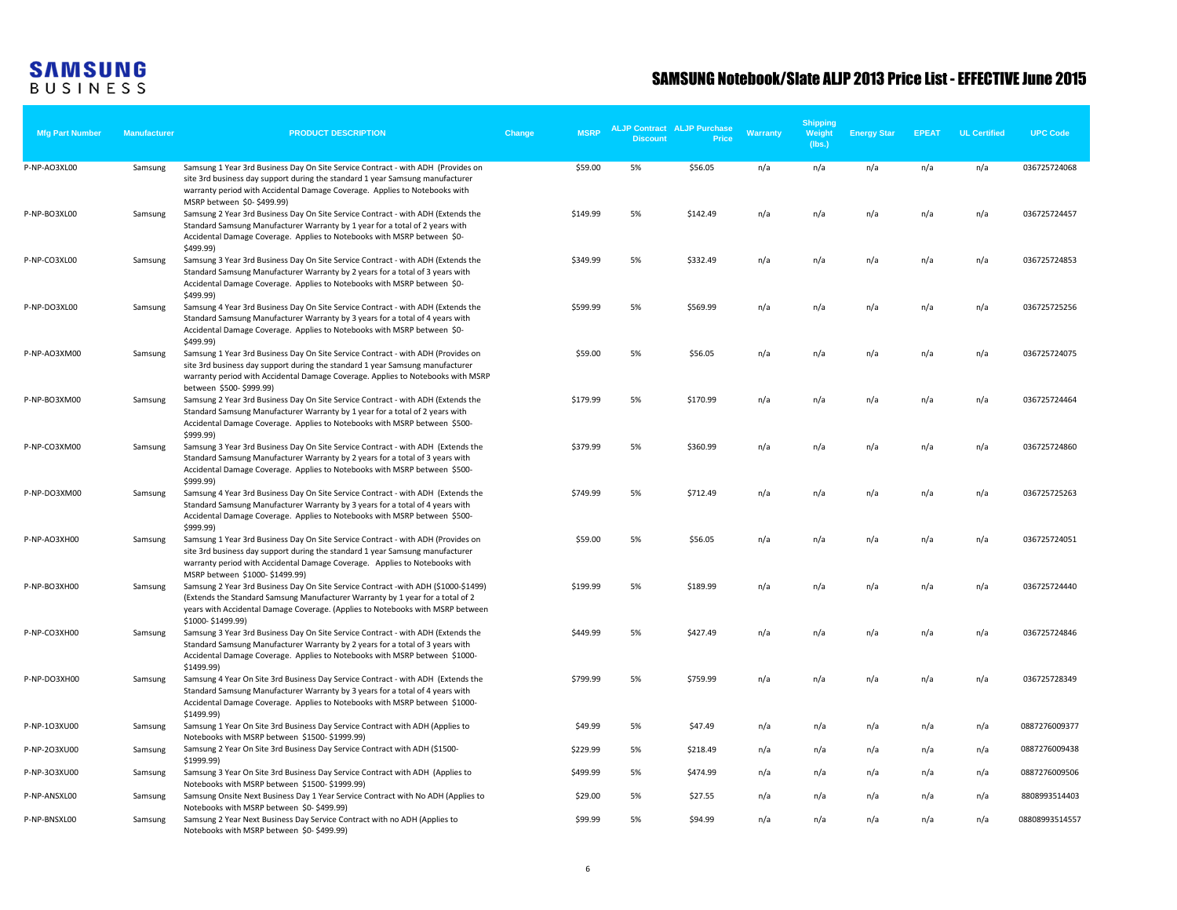| <b>Mfg Part Number</b> | <b>Manufacturer</b> | <b>PRODUCT DESCRIPTION</b>                                                                                                                                                                                                                                                        | Change | <b>MSRP</b> | <b>Discount</b> | <b>ALJP Contract ALJP Purchase</b><br>Price | Warranty | <b>Shipping</b><br>Weight<br>(lbs.) | <b>Energy Star</b> | <b>EPEAT</b> | <b>UL Certified</b> | <b>UPC Code</b> |
|------------------------|---------------------|-----------------------------------------------------------------------------------------------------------------------------------------------------------------------------------------------------------------------------------------------------------------------------------|--------|-------------|-----------------|---------------------------------------------|----------|-------------------------------------|--------------------|--------------|---------------------|-----------------|
| P-NP-AO3XL00           | Samsung             | Samsung 1 Year 3rd Business Day On Site Service Contract - with ADH (Provides on<br>site 3rd business day support during the standard 1 year Samsung manufacturer<br>warranty period with Accidental Damage Coverage. Applies to Notebooks with<br>MSRP between \$0-\$499.99)     |        | \$59.00     | 5%              | \$56.05                                     | n/a      | n/a                                 | n/a                | n/a          | n/a                 | 036725724068    |
| P-NP-BO3XL00           | Samsung             | Samsung 2 Year 3rd Business Day On Site Service Contract - with ADH (Extends the<br>Standard Samsung Manufacturer Warranty by 1 year for a total of 2 years with<br>Accidental Damage Coverage. Applies to Notebooks with MSRP between \$0-<br>\$499.99)                          |        | \$149.99    | 5%              | \$142.49                                    | n/a      | n/a                                 | n/a                | n/a          | n/a                 | 036725724457    |
| P-NP-CO3XL00           | Samsung             | Samsung 3 Year 3rd Business Day On Site Service Contract - with ADH (Extends the<br>Standard Samsung Manufacturer Warranty by 2 years for a total of 3 years with<br>Accidental Damage Coverage. Applies to Notebooks with MSRP between \$0-<br>\$499.99)                         |        | \$349.99    | 5%              | \$332.49                                    | n/a      | n/a                                 | n/a                | n/a          | n/a                 | 036725724853    |
| P-NP-DO3XL00           | Samsung             | Samsung 4 Year 3rd Business Day On Site Service Contract - with ADH (Extends the<br>Standard Samsung Manufacturer Warranty by 3 years for a total of 4 years with<br>Accidental Damage Coverage. Applies to Notebooks with MSRP between \$0-<br>\$499.99)                         |        | \$599.99    | 5%              | \$569.99                                    | n/a      | n/a                                 | n/a                | n/a          | n/a                 | 036725725256    |
| P-NP-AO3XM00           | Samsung             | Samsung 1 Year 3rd Business Day On Site Service Contract - with ADH (Provides on<br>site 3rd business day support during the standard 1 year Samsung manufacturer<br>warranty period with Accidental Damage Coverage. Applies to Notebooks with MSRP<br>between \$500-\$999.99)   |        | \$59.00     | 5%              | \$56.05                                     | n/a      | n/a                                 | n/a                | n/a          | n/a                 | 036725724075    |
| P-NP-BO3XM00           | Samsung             | Samsung 2 Year 3rd Business Day On Site Service Contract - with ADH (Extends the<br>Standard Samsung Manufacturer Warranty by 1 year for a total of 2 years with<br>Accidental Damage Coverage. Applies to Notebooks with MSRP between \$500-<br>\$999.99)                        |        | \$179.99    | 5%              | \$170.99                                    | n/a      | n/a                                 | n/a                | n/a          | n/a                 | 036725724464    |
| P-NP-CO3XM00           | Samsung             | Samsung 3 Year 3rd Business Day On Site Service Contract - with ADH (Extends the<br>Standard Samsung Manufacturer Warranty by 2 years for a total of 3 years with<br>Accidental Damage Coverage. Applies to Notebooks with MSRP between \$500-<br>\$999.99)                       |        | \$379.99    | 5%              | \$360.99                                    | n/a      | n/a                                 | n/a                | n/a          | n/a                 | 036725724860    |
| P-NP-DO3XM00           | Samsung             | Samsung 4 Year 3rd Business Day On Site Service Contract - with ADH (Extends the<br>Standard Samsung Manufacturer Warranty by 3 years for a total of 4 years with<br>Accidental Damage Coverage. Applies to Notebooks with MSRP between \$500-<br>\$999.99)                       |        | \$749.99    | 5%              | \$712.49                                    | n/a      | n/a                                 | n/a                | n/a          | n/a                 | 036725725263    |
| P-NP-AO3XH00           | Samsung             | Samsung 1 Year 3rd Business Day On Site Service Contract - with ADH (Provides on<br>site 3rd business day support during the standard 1 year Samsung manufacturer<br>warranty period with Accidental Damage Coverage. Applies to Notebooks with<br>MSRP between \$1000-\$1499.99) |        | \$59.00     | 5%              | \$56.05                                     | n/a      | n/a                                 | n/a                | n/a          | n/a                 | 036725724051    |
| P-NP-BO3XH00           | Samsung             | Samsung 2 Year 3rd Business Day On Site Service Contract -with ADH (\$1000-\$1499)<br>(Extends the Standard Samsung Manufacturer Warranty by 1 year for a total of 2<br>years with Accidental Damage Coverage. (Applies to Notebooks with MSRP between<br>\$1000-\$1499.99)       |        | \$199.99    | 5%              | \$189.99                                    | n/a      | n/a                                 | n/a                | n/a          | n/a                 | 036725724440    |
| P-NP-CO3XH00           | Samsung             | Samsung 3 Year 3rd Business Day On Site Service Contract - with ADH (Extends the<br>Standard Samsung Manufacturer Warranty by 2 years for a total of 3 years with<br>Accidental Damage Coverage. Applies to Notebooks with MSRP between \$1000-<br>\$1499.99)                     |        | \$449.99    | 5%              | \$427.49                                    | n/a      | n/a                                 | n/a                | n/a          | n/a                 | 036725724846    |
| P-NP-DO3XH00           | Samsung             | Samsung 4 Year On Site 3rd Business Day Service Contract - with ADH (Extends the<br>Standard Samsung Manufacturer Warranty by 3 years for a total of 4 years with<br>Accidental Damage Coverage. Applies to Notebooks with MSRP between \$1000-<br>\$1499.99)                     |        | \$799.99    | 5%              | \$759.99                                    | n/a      | n/a                                 | n/a                | n/a          | n/a                 | 036725728349    |
| P-NP-1O3XU00           | Samsung             | Samsung 1 Year On Site 3rd Business Day Service Contract with ADH (Applies to<br>Notebooks with MSRP between \$1500-\$1999.99)                                                                                                                                                    |        | \$49.99     | 5%              | \$47.49                                     | n/a      | n/a                                 | n/a                | n/a          | n/a                 | 0887276009377   |
| P-NP-2O3XU00           | Samsung             | Samsung 2 Year On Site 3rd Business Day Service Contract with ADH (\$1500-<br>\$1999.99)                                                                                                                                                                                          |        | \$229.99    | 5%              | \$218.49                                    | n/a      | n/a                                 | n/a                | n/a          | n/a                 | 0887276009438   |
| P-NP-3O3XU00           | Samsung             | Samsung 3 Year On Site 3rd Business Day Service Contract with ADH (Applies to<br>Notebooks with MSRP between \$1500-\$1999.99)                                                                                                                                                    |        | \$499.99    | 5%              | \$474.99                                    | n/a      | n/a                                 | n/a                | n/a          | n/a                 | 0887276009506   |
| P-NP-ANSXL00           | Samsung             | Samsung Onsite Next Business Day 1 Year Service Contract with No ADH (Applies to<br>Notebooks with MSRP between \$0-\$499.99)                                                                                                                                                     |        | \$29.00     | 5%              | \$27.55                                     | n/a      | n/a                                 | n/a                | n/a          | n/a                 | 8808993514403   |
| P-NP-BNSXL00           | Samsung             | Samsung 2 Year Next Business Day Service Contract with no ADH (Applies to<br>Notebooks with MSRP between \$0-\$499.99)                                                                                                                                                            |        | \$99.99     | 5%              | \$94.99                                     | n/a      | n/a                                 | n/a                | n/a          | n/a                 | 08808993514557  |